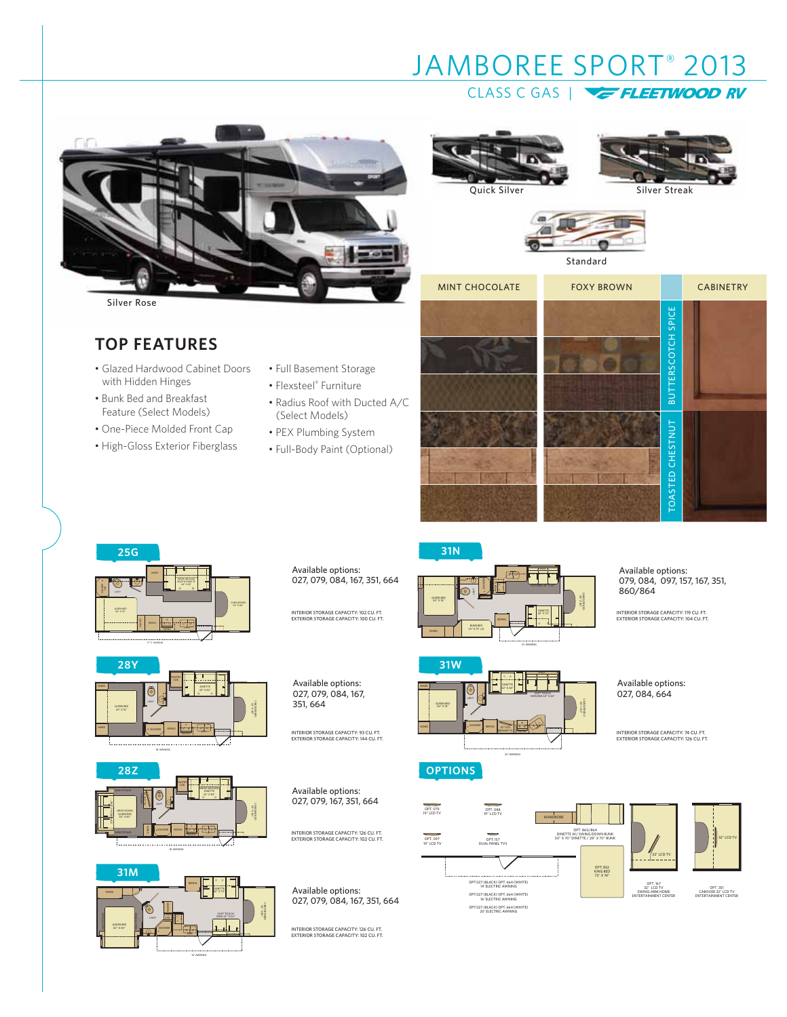



CLASS C GAS |

Quick Silver

# Silver Streak





JAMBOREE SPORT® 2013

Standard

| <b>MINT CHOCOLATE</b> | <b>FOXY BROWN</b> |                         | <b>CABINETRY</b> |
|-----------------------|-------------------|-------------------------|------------------|
|                       |                   | BUTTERSCOTCH SPICE      |                  |
|                       |                   | <b>TOASTED CHESTNUT</b> |                  |



**TOP FEATURES**

with Hidden Hinges • Bunk Bed and Breakfast Feature (Select Models) • One-Piece Molded Front Cap • High-Gloss Exterior Fiberglass

• Glazed Hardwood Cabinet Doors







18' AWNING



Available options: 027, 079, 084, 167, 351, 664

Available options: 027, 079, 084, 167, 351, 664

INTERIOR STORAGE CAPACITY: 102 CU. FT. EXTERIOR STORAGE CAPACITY: 100 CU. FT.

• Full Basement Storage • Flexsteel® Furniture

(Select Models) • PEX Plumbing System • Full-Body Paint (Optional)

• Radius Roof with Ducted A/C

INTERIOR STORAGE CAPACITY: 93 CU. FT. EXTERIOR STORAGE CAPACITY: 144 CU. FT.

Available options: 027, 079, 167, 351, 664

INTERIOR STORAGE CAPACITY: 126 CU. FT. EXTERIOR STORAGE CAPACITY: 102 CU. FT.

Available options: 027, 079, 084, 167, 351, 664

INTERIOR STORAGE CAPACITY: 126 CU. FT. EXTERIOR STORAGE CAPACITY: 102 CU. FT.



 $\sqrt{25}$ 

SHELF



**31N**

OPT. 167 32" LCD TV SWING-ARM HOME ENTERTAINMENT CENTER 32" LCD TV OPT. 084 19'' LCD TV OPT. 097 19" LCD TV OPT. 079 19'' LCD TV OPT. 351<br>CABOVER 32" LCD TV<br>ENTERTAINMENT CENTER OPT. 157<br>
30° X 70° DINETTE / 28° X 70° BUNK<br>
30° X 70° DINETTE / 28° X 70° BUNK OPT. 157 WARDROBE OPT. 852 KING BED 72" X 74" OPT.027 (BLACK) OPT. 664 (WHITE) 14' ELECTRIC AWNING OPT.027 (BLACK) OPT. 664 (WHITE) 16' ELECTRIC AWNING OPT.027 (BLACK) OPT. 664 (WHITE) 20' ELECTRIC AWNING

Available options:

Available options: 079, 084, 097, 157, 167, 351,

INTERIOR STORAGE CAPACITY: 119 CU. FT. EXTERIOR STORAGE CAPACITY: 104 CU. FT.

860/864

027, 084, 664

INTERIOR STORAGE CAPACITY: 74 CU. FT. EXTERIOR STORAGE CAPACITY: 126 CU. FT.